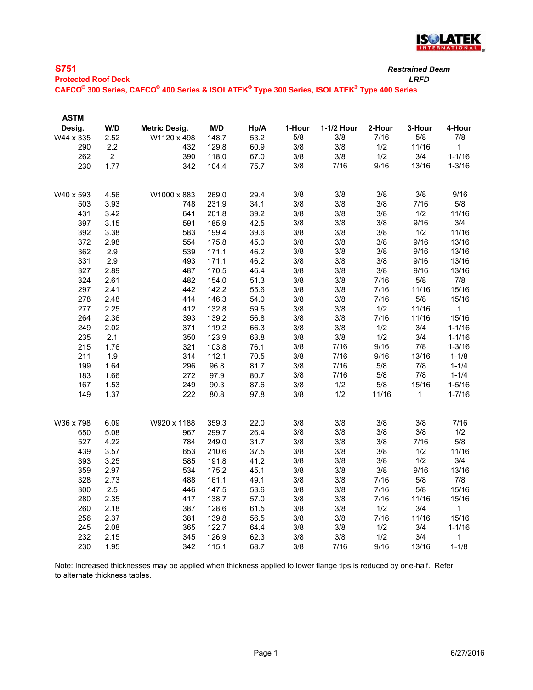

| $\overline{\phantom{a}}$<br>× |        |  |
|-------------------------------|--------|--|
| $\sim$                        | $\sim$ |  |

| <b>Protected Roof Deck</b> | LRFD |
|----------------------------|------|

**CAFCO® 300 Series, CAFCO® 400 Series & ISOLATEK® Type 300 Series, ISOLATEK® Type 400 Series**

| <b>ASTM</b> |                |               |       |      |        |            |        |        |              |
|-------------|----------------|---------------|-------|------|--------|------------|--------|--------|--------------|
| Desig.      | W/D            | Metric Desig. | M/D   | Hp/A | 1-Hour | 1-1/2 Hour | 2-Hour | 3-Hour | 4-Hour       |
| W44 x 335   | 2.52           | W1120 x 498   | 148.7 | 53.2 | 5/8    | 3/8        | 7/16   | $5/8$  | 7/8          |
| 290         | 2.2            | 432           | 129.8 | 60.9 | 3/8    | 3/8        | 1/2    | 11/16  | 1            |
| 262         | $\overline{2}$ | 390           | 118.0 | 67.0 | 3/8    | 3/8        | 1/2    | 3/4    | $1 - 1/16$   |
| 230         | 1.77           | 342           | 104.4 | 75.7 | 3/8    | 7/16       | 9/16   | 13/16  | $1 - 3/16$   |
| W40 x 593   | 4.56           | W1000 x 883   | 269.0 | 29.4 | 3/8    | 3/8        | 3/8    | 3/8    | 9/16         |
| 503         | 3.93           | 748           | 231.9 | 34.1 | 3/8    | 3/8        | 3/8    | 7/16   | 5/8          |
| 431         | 3.42           | 641           | 201.8 | 39.2 | 3/8    | 3/8        | 3/8    | 1/2    | 11/16        |
| 397         | 3.15           | 591           | 185.9 | 42.5 | 3/8    | 3/8        | 3/8    | 9/16   | 3/4          |
| 392         | 3.38           | 583           | 199.4 | 39.6 | 3/8    | 3/8        | 3/8    | 1/2    | 11/16        |
| 372         | 2.98           | 554           | 175.8 | 45.0 | 3/8    | 3/8        | 3/8    | 9/16   | 13/16        |
| 362         | 2.9            | 539           | 171.1 | 46.2 | 3/8    | 3/8        | 3/8    | 9/16   | 13/16        |
| 331         | 2.9            | 493           | 171.1 | 46.2 | 3/8    | 3/8        | 3/8    | 9/16   | 13/16        |
| 327         | 2.89           | 487           | 170.5 | 46.4 | 3/8    | 3/8        | 3/8    | 9/16   | 13/16        |
| 324         | 2.61           | 482           | 154.0 | 51.3 | 3/8    | 3/8        | 7/16   | 5/8    | 7/8          |
| 297         | 2.41           | 442           | 142.2 | 55.6 | 3/8    | 3/8        | 7/16   | 11/16  | 15/16        |
| 278         | 2.48           | 414           | 146.3 | 54.0 | 3/8    | 3/8        | 7/16   | 5/8    | 15/16        |
| 277         | 2.25           | 412           | 132.8 | 59.5 | 3/8    | 3/8        | 1/2    | 11/16  | $\mathbf{1}$ |
| 264         | 2.36           | 393           | 139.2 | 56.8 | 3/8    | 3/8        | 7/16   | 11/16  | 15/16        |
| 249         | 2.02           | 371           | 119.2 | 66.3 | 3/8    | 3/8        | 1/2    | 3/4    | $1 - 1/16$   |
| 235         | 2.1            | 350           | 123.9 | 63.8 | 3/8    | 3/8        | 1/2    | 3/4    | $1 - 1/16$   |
| 215         | 1.76           | 321           | 103.8 | 76.1 | 3/8    | 7/16       | 9/16   | 7/8    | $1 - 3/16$   |
| 211         | 1.9            | 314           | 112.1 | 70.5 | 3/8    | 7/16       | 9/16   | 13/16  | $1 - 1/8$    |
| 199         | 1.64           | 296           | 96.8  | 81.7 | 3/8    | 7/16       | $5/8$  | 7/8    | $1 - 1/4$    |
| 183         | 1.66           | 272           | 97.9  | 80.7 | 3/8    | 7/16       | $5/8$  | 7/8    | $1 - 1/4$    |
| 167         | 1.53           | 249           | 90.3  | 87.6 | 3/8    | 1/2        | 5/8    | 15/16  | $1 - 5/16$   |
| 149         | 1.37           | 222           | 80.8  | 97.8 | 3/8    | 1/2        | 11/16  | 1      | $1 - 7/16$   |
| W36 x 798   | 6.09           | W920 x 1188   | 359.3 | 22.0 | 3/8    | 3/8        | 3/8    | 3/8    | 7/16         |
| 650         | 5.08           | 967           | 299.7 | 26.4 | 3/8    | 3/8        | 3/8    | 3/8    | 1/2          |
| 527         | 4.22           | 784           | 249.0 | 31.7 | 3/8    | 3/8        | 3/8    | 7/16   | 5/8          |
| 439         | 3.57           | 653           | 210.6 | 37.5 | 3/8    | 3/8        | 3/8    | 1/2    | 11/16        |
| 393         | 3.25           | 585           | 191.8 | 41.2 | 3/8    | 3/8        | 3/8    | 1/2    | 3/4          |
| 359         | 2.97           | 534           | 175.2 | 45.1 | 3/8    | 3/8        | 3/8    | 9/16   | 13/16        |
| 328         | 2.73           | 488           | 161.1 | 49.1 | 3/8    | 3/8        | 7/16   | 5/8    | 7/8          |
| 300         | 2.5            | 446           | 147.5 | 53.6 | 3/8    | 3/8        | 7/16   | $5/8$  | 15/16        |
| 280         | 2.35           | 417           | 138.7 | 57.0 | 3/8    | 3/8        | 7/16   | 11/16  | 15/16        |
| 260         | 2.18           | 387           | 128.6 | 61.5 | 3/8    | 3/8        | 1/2    | 3/4    | $\mathbf{1}$ |
| 256         | 2.37           | 381           | 139.8 | 56.5 | 3/8    | 3/8        | 7/16   | 11/16  | 15/16        |
| 245         | 2.08           | 365           | 122.7 | 64.4 | 3/8    | 3/8        | 1/2    | 3/4    | $1 - 1/16$   |
| 232         | 2.15           | 345           | 126.9 | 62.3 | 3/8    | 3/8        | 1/2    | 3/4    | 1            |
| 230         | 1.95           | 342           | 115.1 | 68.7 | 3/8    | 7/16       | 9/16   | 13/16  | $1 - 1/8$    |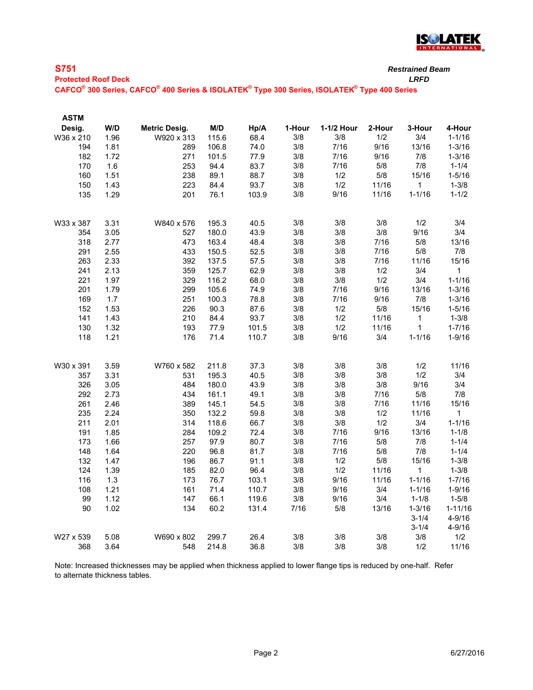

|--|

**Protected Roof Deck** *LRFD*

**CAFCO® 300 Series, CAFCO® 400 Series & ISOLATEK® Type 300 Series, ISOLATEK® Type 400 Series**

| <b>ASTM</b> |      |                      |       |       |        |            |        |             |              |
|-------------|------|----------------------|-------|-------|--------|------------|--------|-------------|--------------|
| Desig.      | W/D  | <b>Metric Desig.</b> | M/D   | Hp/A  | 1-Hour | 1-1/2 Hour | 2-Hour | 3-Hour      | 4-Hour       |
| W36 x 210   | 1.96 | W920 x 313           | 115.6 | 68.4  | 3/8    | 3/8        | 1/2    | 3/4         | $1 - 1/16$   |
| 194         | 1.81 | 289                  | 106.8 | 74.0  | 3/8    | 7/16       | 9/16   | 13/16       | $1 - 3/16$   |
| 182         | 1.72 | 271                  | 101.5 | 77.9  | 3/8    | 7/16       | 9/16   | 7/8         | $1 - 3/16$   |
| 170         | 1.6  | 253                  | 94.4  | 83.7  | 3/8    | 7/16       | $5/8$  | 7/8         | $1 - 1/4$    |
| 160         | 1.51 | 238                  | 89.1  | 88.7  | 3/8    | 1/2        | $5/8$  | 15/16       | $1 - 5/16$   |
| 150         | 1.43 | 223                  | 84.4  | 93.7  | 3/8    | 1/2        | 11/16  | 1           | $1 - 3/8$    |
| 135         | 1.29 | 201                  | 76.1  | 103.9 | 3/8    | 9/16       | 11/16  | $1 - 1/16$  | $1 - 1/2$    |
| W33 x 387   | 3.31 | W840 x 576           | 195.3 | 40.5  | 3/8    | 3/8        | 3/8    | 1/2         | 3/4          |
| 354         | 3.05 | 527                  | 180.0 | 43.9  | 3/8    | 3/8        | 3/8    | 9/16        | 3/4          |
| 318         | 2.77 | 473                  | 163.4 | 48.4  | 3/8    | 3/8        | 7/16   | $5/8$       | 13/16        |
| 291         | 2.55 | 433                  | 150.5 | 52.5  | 3/8    | 3/8        | 7/16   | 5/8         | 7/8          |
| 263         | 2.33 | 392                  | 137.5 | 57.5  | 3/8    | 3/8        | 7/16   | 11/16       | 15/16        |
| 241         | 2.13 | 359                  | 125.7 | 62.9  | 3/8    | 3/8        | 1/2    | 3/4         | $\mathbf{1}$ |
| 221         | 1.97 | 329                  | 116.2 | 68.0  | 3/8    | 3/8        | 1/2    | 3/4         | $1 - 1/16$   |
| 201         | 1.79 | 299                  | 105.6 | 74.9  | 3/8    | 7/16       | 9/16   | 13/16       | $1 - 3/16$   |
| 169         | 1.7  | 251                  | 100.3 | 78.8  | 3/8    | 7/16       | 9/16   | 7/8         | $1 - 3/16$   |
| 152         | 1.53 | 226                  | 90.3  | 87.6  | 3/8    | 1/2        | 5/8    | 15/16       | $1 - 5/16$   |
| 141         | 1.43 | 210                  | 84.4  | 93.7  | 3/8    | 1/2        | 11/16  | 1           | $1 - 3/8$    |
| 130         | 1.32 | 193                  | 77.9  | 101.5 | 3/8    | 1/2        | 11/16  | $\mathbf 1$ | $1 - 7/16$   |
| 118         | 1.21 | 176                  | 71.4  | 110.7 | 3/8    | 9/16       | 3/4    | $1 - 1/16$  | $1 - 9/16$   |
| W30 x 391   | 3.59 | W760 x 582           | 211.8 | 37.3  | 3/8    | 3/8        | 3/8    | 1/2         | 11/16        |
| 357         | 3.31 | 531                  | 195.3 | 40.5  | 3/8    | 3/8        | 3/8    | 1/2         | 3/4          |
| 326         | 3.05 | 484                  | 180.0 | 43.9  | 3/8    | 3/8        | 3/8    | 9/16        | 3/4          |
| 292         | 2.73 | 434                  | 161.1 | 49.1  | 3/8    | 3/8        | 7/16   | $5/8$       | 7/8          |
| 261         | 2.46 | 389                  | 145.1 | 54.5  | 3/8    | 3/8        | 7/16   | 11/16       | 15/16        |
| 235         | 2.24 | 350                  | 132.2 | 59.8  | 3/8    | 3/8        | 1/2    | 11/16       | 1            |
| 211         | 2.01 | 314                  | 118.6 | 66.7  | 3/8    | 3/8        | 1/2    | 3/4         | $1 - 1/16$   |
| 191         | 1.85 | 284                  | 109.2 | 72.4  | 3/8    | $7/16$     | 9/16   | 13/16       | $1 - 1/8$    |
| 173         | 1.66 | 257                  | 97.9  | 80.7  | 3/8    | 7/16       | $5/8$  | 7/8         | $1 - 1/4$    |
| 148         | 1.64 | 220                  | 96.8  | 81.7  | 3/8    | 7/16       | 5/8    | 7/8         | $1 - 1/4$    |
| 132         | 1.47 | 196                  | 86.7  | 91.1  | 3/8    | 1/2        | 5/8    | 15/16       | $1 - 3/8$    |
| 124         | 1.39 | 185                  | 82.0  | 96.4  | 3/8    | 1/2        | 11/16  | 1           | $1 - 3/8$    |
| 116         | 1.3  | 173                  | 76.7  | 103.1 | 3/8    | 9/16       | 11/16  | $1 - 1/16$  | $1 - 7/16$   |
| 108         | 1.21 | 161                  | 71.4  | 110.7 | 3/8    | 9/16       | 3/4    | $1 - 1/16$  | $1 - 9/16$   |
| 99          | 1.12 | 147                  | 66.1  | 119.6 | 3/8    | 9/16       | 3/4    | $1 - 1/8$   | $1 - 5/8$    |
| 90          | 1.02 | 134                  | 60.2  | 131.4 | 7/16   | 5/8        | 13/16  | $1 - 3/16$  | $1 - 11/16$  |
|             |      |                      |       |       |        |            |        | $3 - 1/4$   | $4 - 9/16$   |
|             |      |                      |       |       |        |            |        | $3 - 1/4$   | $4 - 9/16$   |
| W27 x 539   | 5.08 | W690 x 802           | 299.7 | 26.4  | 3/8    | 3/8        | 3/8    | 3/8         | 1/2          |
| 368         | 3.64 | 548                  | 214.8 | 36.8  | 3/8    | 3/8        | 3/8    | 1/2         | 11/16        |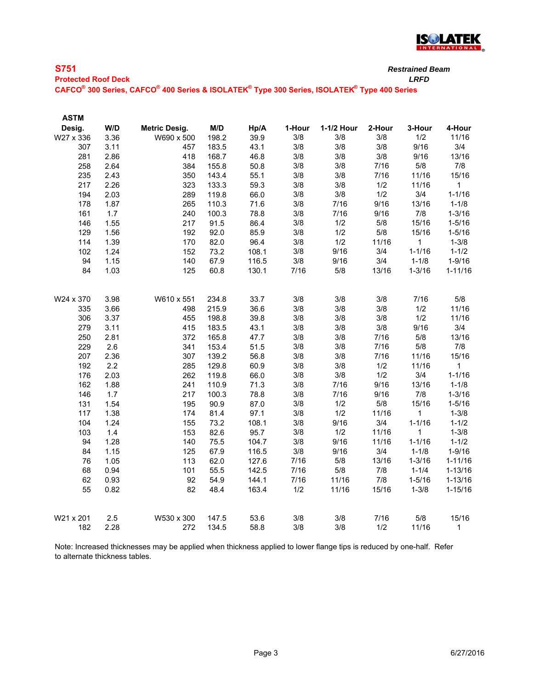

| <b>S751</b>                                                                                 | <b>Restrained Beam</b> |
|---------------------------------------------------------------------------------------------|------------------------|
| <b>Protected Roof Deck</b>                                                                  | LRFD                   |
| CAFCO® 300 Series, CAFCO® 400 Series & ISOLATEK® Type 300 Series, ISOLATEK® Type 400 Series |                        |

| <b>ASTM</b> |      |                      |       |       |        |            |        |              |              |
|-------------|------|----------------------|-------|-------|--------|------------|--------|--------------|--------------|
| Desig.      | W/D  | <b>Metric Desig.</b> | M/D   | Hp/A  | 1-Hour | 1-1/2 Hour | 2-Hour | 3-Hour       | 4-Hour       |
| W27 x 336   | 3.36 | W690 x 500           | 198.2 | 39.9  | 3/8    | 3/8        | 3/8    | 1/2          | 11/16        |
| 307         | 3.11 | 457                  | 183.5 | 43.1  | 3/8    | 3/8        | 3/8    | 9/16         | 3/4          |
| 281         | 2.86 | 418                  | 168.7 | 46.8  | 3/8    | 3/8        | 3/8    | 9/16         | 13/16        |
| 258         | 2.64 | 384                  | 155.8 | 50.8  | 3/8    | 3/8        | 7/16   | $5/8$        | 7/8          |
| 235         | 2.43 | 350                  | 143.4 | 55.1  | 3/8    | 3/8        | 7/16   | 11/16        | 15/16        |
| 217         | 2.26 | 323                  | 133.3 | 59.3  | 3/8    | 3/8        | 1/2    | 11/16        | $\mathbf{1}$ |
| 194         | 2.03 | 289                  | 119.8 | 66.0  | 3/8    | 3/8        | 1/2    | 3/4          | $1 - 1/16$   |
| 178         | 1.87 | 265                  | 110.3 | 71.6  | 3/8    | 7/16       | 9/16   | 13/16        | $1 - 1/8$    |
| 161         | 1.7  | 240                  | 100.3 | 78.8  | 3/8    | 7/16       | 9/16   | 7/8          | $1 - 3/16$   |
| 146         | 1.55 | 217                  | 91.5  | 86.4  | 3/8    | 1/2        | 5/8    | 15/16        | $1 - 5/16$   |
| 129         | 1.56 | 192                  | 92.0  | 85.9  | 3/8    | 1/2        | $5/8$  | 15/16        | $1 - 5/16$   |
| 114         | 1.39 | 170                  | 82.0  | 96.4  | 3/8    | 1/2        | 11/16  | $\mathbf{1}$ | $1 - 3/8$    |
| 102         | 1.24 | 152                  | 73.2  | 108.1 | 3/8    | 9/16       | 3/4    | $1 - 1/16$   | $1 - 1/2$    |
| 94          | 1.15 | 140                  | 67.9  | 116.5 | 3/8    | 9/16       | 3/4    | $1 - 1/8$    | $1 - 9/16$   |
| 84          | 1.03 | 125                  | 60.8  | 130.1 | 7/16   | $5/8$      | 13/16  | $1 - 3/16$   | $1 - 11/16$  |
| W24 x 370   | 3.98 | W610 x 551           | 234.8 | 33.7  | 3/8    | 3/8        | 3/8    | 7/16         | 5/8          |
| 335         | 3.66 | 498                  | 215.9 | 36.6  | 3/8    | 3/8        | 3/8    | 1/2          | 11/16        |
| 306         | 3.37 | 455                  | 198.8 | 39.8  | 3/8    | 3/8        | 3/8    | 1/2          | 11/16        |
| 279         | 3.11 | 415                  | 183.5 | 43.1  | 3/8    | 3/8        | 3/8    | 9/16         | 3/4          |
| 250         | 2.81 | 372                  | 165.8 | 47.7  | 3/8    | 3/8        | 7/16   | 5/8          | 13/16        |
| 229         | 2.6  | 341                  | 153.4 | 51.5  | 3/8    | 3/8        | 7/16   | 5/8          | 7/8          |
| 207         | 2.36 | 307                  | 139.2 | 56.8  | 3/8    | 3/8        | 7/16   | 11/16        | 15/16        |
| 192         | 2.2  | 285                  | 129.8 | 60.9  | 3/8    | 3/8        | 1/2    | 11/16        | 1            |
| 176         | 2.03 | 262                  | 119.8 | 66.0  | 3/8    | 3/8        | 1/2    | 3/4          | $1 - 1/16$   |
| 162         | 1.88 | 241                  | 110.9 | 71.3  | 3/8    | 7/16       | 9/16   | 13/16        | $1 - 1/8$    |
| 146         | 1.7  | 217                  | 100.3 | 78.8  | 3/8    | 7/16       | 9/16   | 7/8          | $1 - 3/16$   |
| 131         | 1.54 | 195                  | 90.9  | 87.0  | 3/8    | 1/2        | 5/8    | 15/16        | $1 - 5/16$   |
| 117         | 1.38 | 174                  | 81.4  | 97.1  | 3/8    | 1/2        | 11/16  | $\mathbf{1}$ | $1 - 3/8$    |
| 104         | 1.24 | 155                  | 73.2  | 108.1 | 3/8    | 9/16       | 3/4    | $1 - 1/16$   | $1 - 1/2$    |
| 103         | 1.4  | 153                  | 82.6  | 95.7  | 3/8    | 1/2        | 11/16  | $\mathbf{1}$ | $1 - 3/8$    |
| 94          | 1.28 | 140                  | 75.5  | 104.7 | 3/8    | 9/16       | 11/16  | $1 - 1/16$   | $1 - 1/2$    |
| 84          | 1.15 | 125                  | 67.9  | 116.5 | 3/8    | 9/16       | 3/4    | $1 - 1/8$    | $1 - 9/16$   |
| 76          | 1.05 | 113                  | 62.0  | 127.6 | 7/16   | $5/8$      | 13/16  | $1 - 3/16$   | $1 - 11/16$  |
| 68          | 0.94 | 101                  | 55.5  | 142.5 | 7/16   | 5/8        | 7/8    | $1 - 1/4$    | $1 - 13/16$  |
| 62          | 0.93 | 92                   | 54.9  | 144.1 | 7/16   | 11/16      | 7/8    | $1 - 5/16$   | $1 - 13/16$  |
| 55          | 0.82 | 82                   | 48.4  | 163.4 | 1/2    | 11/16      | 15/16  | $1 - 3/8$    | $1 - 15/16$  |
| W21 x 201   | 2.5  | W530 x 300           | 147.5 | 53.6  | 3/8    | 3/8        | 7/16   | 5/8          | 15/16        |
| 182         | 2.28 | 272                  | 134.5 | 58.8  | 3/8    | 3/8        | 1/2    | 11/16        | 1            |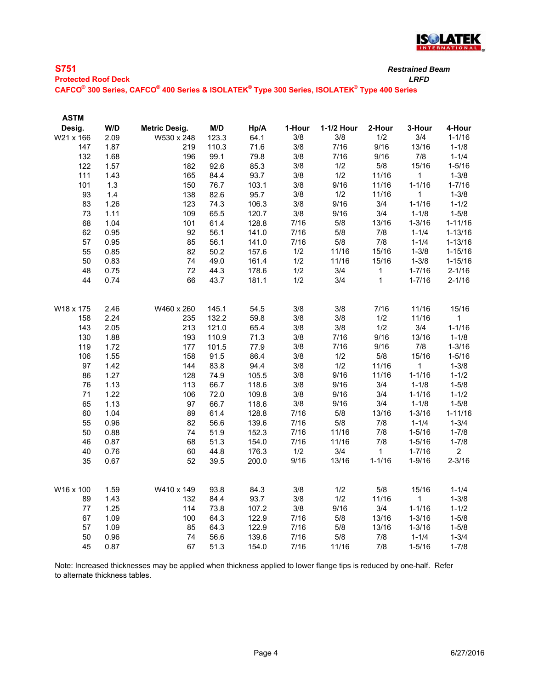

**Protected Roof Deck** *LRFD*

**CAFCO® 300 Series, CAFCO® 400 Series & ISOLATEK® Type 300 Series, ISOLATEK® Type 400 Series**

| W/D<br><b>Metric Desig.</b><br>M/D<br>Hp/A<br>1-Hour<br>1-1/2 Hour<br>2-Hour<br>3-Hour<br>4-Hour<br>Desig.<br>2.09<br>123.3<br>3/4<br>W21 x 166<br>W530 x 248<br>64.1<br>3/8<br>3/8<br>1/2<br>$1 - 1/16$<br>3/8<br>7/16<br>9/16<br>13/16<br>$1 - 1/8$<br>1.87<br>110.3<br>71.6<br>147<br>219<br>7/16<br>9/16<br>7/8<br>99.1<br>3/8<br>$1 - 1/4$<br>132<br>1.68<br>196<br>79.8<br>$5/8$<br>92.6<br>85.3<br>3/8<br>1/2<br>15/16<br>$1 - 5/16$<br>122<br>1.57<br>182<br>1/2<br>111<br>1.43<br>84.4<br>93.7<br>3/8<br>11/16<br>$\mathbf{1}$<br>$1 - 3/8$<br>165<br>9/16<br>$1 - 1/16$<br>$1 - 7/16$<br>101<br>1.3<br>76.7<br>103.1<br>3/8<br>11/16<br>150<br>1.4<br>82.6<br>95.7<br>1/2<br>93<br>138<br>3/8<br>11/16<br>$\mathbf{1}$<br>$1 - 3/8$<br>1.26<br>74.3<br>3/8<br>9/16<br>3/4<br>$1 - 1/16$<br>$1 - 1/2$<br>83<br>123<br>106.3<br>3/4<br>1.11<br>65.5<br>3/8<br>9/16<br>$1 - 5/8$<br>73<br>109<br>120.7<br>$1 - 1/8$<br>5/8<br>1.04<br>61.4<br>128.8<br>7/16<br>13/16<br>$1 - 3/16$<br>$1 - 11/16$<br>68<br>101<br>7/16<br>5/8<br>7/8<br>$1 - 13/16$<br>0.95<br>56.1<br>141.0<br>$1 - 1/4$<br>62<br>92<br>7/16<br>5/8<br>7/8<br>0.95<br>85<br>56.1<br>141.0<br>$1 - 1/4$<br>$1 - 13/16$<br>57<br>0.85<br>82<br>50.2<br>1/2<br>11/16<br>15/16<br>$1 - 3/8$<br>$1 - 15/16$<br>55<br>157.6<br>49.0<br>1/2<br>$1 - 3/8$<br>50<br>0.83<br>74<br>161.4<br>11/16<br>15/16<br>$1 - 15/16$<br>0.75<br>44.3<br>1/2<br>3/4<br>$1 - 7/16$<br>$2 - 1/16$<br>48<br>72<br>178.6<br>$\mathbf{1}$<br>44<br>0.74<br>66<br>43.7<br>181.1<br>1/2<br>3/4<br>$\mathbf{1}$<br>$2 - 1/16$<br>$1 - 7/16$<br>3/8<br>3/8<br>7/16<br>15/16<br>11/16<br>W18 x 175<br>2.46<br>W460 x 260<br>145.1<br>54.5<br>3/8<br>59.8<br>3/8<br>1/2<br>11/16<br>2.24<br>235<br>132.2<br>1<br>158<br>$1 - 1/16$<br>2.05<br>3/8<br>3/8<br>1/2<br>3/4<br>143<br>213<br>121.0<br>65.4<br>9/16<br>130<br>1.88<br>193<br>110.9<br>71.3<br>3/8<br>7/16<br>13/16<br>$1 - 1/8$<br>119<br>1.72<br>101.5<br>77.9<br>3/8<br>7/16<br>9/16<br>7/8<br>$1 - 3/16$<br>177<br>1.55<br>1/2<br>5/8<br>15/16<br>106<br>91.5<br>86.4<br>3/8<br>$1 - 5/16$<br>158<br>1.42<br>83.8<br>3/8<br>1/2<br>97<br>94.4<br>11/16<br>1<br>$1 - 3/8$<br>144<br>9/16<br>1.27<br>74.9<br>3/8<br>$1 - 1/16$<br>$1 - 1/2$<br>86<br>105.5<br>11/16<br>128<br>3/8<br>9/16<br>3/4<br>$1 - 1/8$<br>$1 - 5/8$<br>1.13<br>66.7<br>118.6<br>76<br>113<br>1.22<br>72.0<br>3/8<br>9/16<br>3/4<br>$1 - 1/16$<br>$1 - 1/2$<br>71<br>109.8<br>106<br>9/16<br>3/4<br>$1 - 5/8$<br>1.13<br>66.7<br>118.6<br>3/8<br>$1 - 1/8$<br>65<br>97<br>1.04<br>61.4<br>5/8<br>60<br>89<br>128.8<br>7/16<br>13/16<br>$1 - 3/16$<br>$1 - 11/16$<br>0.96<br>5/8<br>55<br>82<br>56.6<br>139.6<br>7/16<br>7/8<br>$1 - 1/4$<br>$1 - 3/4$<br>152.3<br>11/16<br>7/8<br>50<br>0.88<br>74<br>51.9<br>7/16<br>$1 - 5/16$<br>$1 - 7/8$<br>51.3<br>7/16<br>11/16<br>7/8<br>46<br>0.87<br>68<br>154.0<br>$1 - 5/16$<br>$1 - 7/8$<br>40<br>0.76<br>60<br>44.8<br>176.3<br>1/2<br>3/4<br>$\mathbf{1}$<br>$\overline{2}$<br>$1 - 7/16$<br>9/16<br>13/16<br>$1 - 1/16$<br>$2 - 3/16$<br>35<br>0.67<br>52<br>39.5<br>200.0<br>$1 - 9/16$<br>1.59<br>W410 x 149<br>93.8<br>84.3<br>3/8<br>1/2<br>$5/8$<br>15/16<br>$1 - 1/4$<br>W16 x 100<br>1/2<br>1.43<br>84.4<br>93.7<br>3/8<br>11/16<br>$\mathbf{1}$<br>$1 - 3/8$<br>89<br>132<br>1.25<br>9/16<br>3/4<br>$1 - 1/16$<br>77<br>114<br>73.8<br>107.2<br>3/8<br>$1 - 1/2$ | <b>ASTM</b> |  |  |  |  |  |
|--------------------------------------------------------------------------------------------------------------------------------------------------------------------------------------------------------------------------------------------------------------------------------------------------------------------------------------------------------------------------------------------------------------------------------------------------------------------------------------------------------------------------------------------------------------------------------------------------------------------------------------------------------------------------------------------------------------------------------------------------------------------------------------------------------------------------------------------------------------------------------------------------------------------------------------------------------------------------------------------------------------------------------------------------------------------------------------------------------------------------------------------------------------------------------------------------------------------------------------------------------------------------------------------------------------------------------------------------------------------------------------------------------------------------------------------------------------------------------------------------------------------------------------------------------------------------------------------------------------------------------------------------------------------------------------------------------------------------------------------------------------------------------------------------------------------------------------------------------------------------------------------------------------------------------------------------------------------------------------------------------------------------------------------------------------------------------------------------------------------------------------------------------------------------------------------------------------------------------------------------------------------------------------------------------------------------------------------------------------------------------------------------------------------------------------------------------------------------------------------------------------------------------------------------------------------------------------------------------------------------------------------------------------------------------------------------------------------------------------------------------------------------------------------------------------------------------------------------------------------------------------------------------------------------------------------------------------------------------------------------------------------------------------------------------------------------------------------------------------------------------------------------------------------------------------------------------------------------------------------------------------------------------------------------------------------------------------------------------------------------------------------------|-------------|--|--|--|--|--|
|                                                                                                                                                                                                                                                                                                                                                                                                                                                                                                                                                                                                                                                                                                                                                                                                                                                                                                                                                                                                                                                                                                                                                                                                                                                                                                                                                                                                                                                                                                                                                                                                                                                                                                                                                                                                                                                                                                                                                                                                                                                                                                                                                                                                                                                                                                                                                                                                                                                                                                                                                                                                                                                                                                                                                                                                                                                                                                                                                                                                                                                                                                                                                                                                                                                                                                                                                                                                  |             |  |  |  |  |  |
|                                                                                                                                                                                                                                                                                                                                                                                                                                                                                                                                                                                                                                                                                                                                                                                                                                                                                                                                                                                                                                                                                                                                                                                                                                                                                                                                                                                                                                                                                                                                                                                                                                                                                                                                                                                                                                                                                                                                                                                                                                                                                                                                                                                                                                                                                                                                                                                                                                                                                                                                                                                                                                                                                                                                                                                                                                                                                                                                                                                                                                                                                                                                                                                                                                                                                                                                                                                                  |             |  |  |  |  |  |
|                                                                                                                                                                                                                                                                                                                                                                                                                                                                                                                                                                                                                                                                                                                                                                                                                                                                                                                                                                                                                                                                                                                                                                                                                                                                                                                                                                                                                                                                                                                                                                                                                                                                                                                                                                                                                                                                                                                                                                                                                                                                                                                                                                                                                                                                                                                                                                                                                                                                                                                                                                                                                                                                                                                                                                                                                                                                                                                                                                                                                                                                                                                                                                                                                                                                                                                                                                                                  |             |  |  |  |  |  |
|                                                                                                                                                                                                                                                                                                                                                                                                                                                                                                                                                                                                                                                                                                                                                                                                                                                                                                                                                                                                                                                                                                                                                                                                                                                                                                                                                                                                                                                                                                                                                                                                                                                                                                                                                                                                                                                                                                                                                                                                                                                                                                                                                                                                                                                                                                                                                                                                                                                                                                                                                                                                                                                                                                                                                                                                                                                                                                                                                                                                                                                                                                                                                                                                                                                                                                                                                                                                  |             |  |  |  |  |  |
|                                                                                                                                                                                                                                                                                                                                                                                                                                                                                                                                                                                                                                                                                                                                                                                                                                                                                                                                                                                                                                                                                                                                                                                                                                                                                                                                                                                                                                                                                                                                                                                                                                                                                                                                                                                                                                                                                                                                                                                                                                                                                                                                                                                                                                                                                                                                                                                                                                                                                                                                                                                                                                                                                                                                                                                                                                                                                                                                                                                                                                                                                                                                                                                                                                                                                                                                                                                                  |             |  |  |  |  |  |
|                                                                                                                                                                                                                                                                                                                                                                                                                                                                                                                                                                                                                                                                                                                                                                                                                                                                                                                                                                                                                                                                                                                                                                                                                                                                                                                                                                                                                                                                                                                                                                                                                                                                                                                                                                                                                                                                                                                                                                                                                                                                                                                                                                                                                                                                                                                                                                                                                                                                                                                                                                                                                                                                                                                                                                                                                                                                                                                                                                                                                                                                                                                                                                                                                                                                                                                                                                                                  |             |  |  |  |  |  |
|                                                                                                                                                                                                                                                                                                                                                                                                                                                                                                                                                                                                                                                                                                                                                                                                                                                                                                                                                                                                                                                                                                                                                                                                                                                                                                                                                                                                                                                                                                                                                                                                                                                                                                                                                                                                                                                                                                                                                                                                                                                                                                                                                                                                                                                                                                                                                                                                                                                                                                                                                                                                                                                                                                                                                                                                                                                                                                                                                                                                                                                                                                                                                                                                                                                                                                                                                                                                  |             |  |  |  |  |  |
|                                                                                                                                                                                                                                                                                                                                                                                                                                                                                                                                                                                                                                                                                                                                                                                                                                                                                                                                                                                                                                                                                                                                                                                                                                                                                                                                                                                                                                                                                                                                                                                                                                                                                                                                                                                                                                                                                                                                                                                                                                                                                                                                                                                                                                                                                                                                                                                                                                                                                                                                                                                                                                                                                                                                                                                                                                                                                                                                                                                                                                                                                                                                                                                                                                                                                                                                                                                                  |             |  |  |  |  |  |
|                                                                                                                                                                                                                                                                                                                                                                                                                                                                                                                                                                                                                                                                                                                                                                                                                                                                                                                                                                                                                                                                                                                                                                                                                                                                                                                                                                                                                                                                                                                                                                                                                                                                                                                                                                                                                                                                                                                                                                                                                                                                                                                                                                                                                                                                                                                                                                                                                                                                                                                                                                                                                                                                                                                                                                                                                                                                                                                                                                                                                                                                                                                                                                                                                                                                                                                                                                                                  |             |  |  |  |  |  |
|                                                                                                                                                                                                                                                                                                                                                                                                                                                                                                                                                                                                                                                                                                                                                                                                                                                                                                                                                                                                                                                                                                                                                                                                                                                                                                                                                                                                                                                                                                                                                                                                                                                                                                                                                                                                                                                                                                                                                                                                                                                                                                                                                                                                                                                                                                                                                                                                                                                                                                                                                                                                                                                                                                                                                                                                                                                                                                                                                                                                                                                                                                                                                                                                                                                                                                                                                                                                  |             |  |  |  |  |  |
|                                                                                                                                                                                                                                                                                                                                                                                                                                                                                                                                                                                                                                                                                                                                                                                                                                                                                                                                                                                                                                                                                                                                                                                                                                                                                                                                                                                                                                                                                                                                                                                                                                                                                                                                                                                                                                                                                                                                                                                                                                                                                                                                                                                                                                                                                                                                                                                                                                                                                                                                                                                                                                                                                                                                                                                                                                                                                                                                                                                                                                                                                                                                                                                                                                                                                                                                                                                                  |             |  |  |  |  |  |
|                                                                                                                                                                                                                                                                                                                                                                                                                                                                                                                                                                                                                                                                                                                                                                                                                                                                                                                                                                                                                                                                                                                                                                                                                                                                                                                                                                                                                                                                                                                                                                                                                                                                                                                                                                                                                                                                                                                                                                                                                                                                                                                                                                                                                                                                                                                                                                                                                                                                                                                                                                                                                                                                                                                                                                                                                                                                                                                                                                                                                                                                                                                                                                                                                                                                                                                                                                                                  |             |  |  |  |  |  |
|                                                                                                                                                                                                                                                                                                                                                                                                                                                                                                                                                                                                                                                                                                                                                                                                                                                                                                                                                                                                                                                                                                                                                                                                                                                                                                                                                                                                                                                                                                                                                                                                                                                                                                                                                                                                                                                                                                                                                                                                                                                                                                                                                                                                                                                                                                                                                                                                                                                                                                                                                                                                                                                                                                                                                                                                                                                                                                                                                                                                                                                                                                                                                                                                                                                                                                                                                                                                  |             |  |  |  |  |  |
|                                                                                                                                                                                                                                                                                                                                                                                                                                                                                                                                                                                                                                                                                                                                                                                                                                                                                                                                                                                                                                                                                                                                                                                                                                                                                                                                                                                                                                                                                                                                                                                                                                                                                                                                                                                                                                                                                                                                                                                                                                                                                                                                                                                                                                                                                                                                                                                                                                                                                                                                                                                                                                                                                                                                                                                                                                                                                                                                                                                                                                                                                                                                                                                                                                                                                                                                                                                                  |             |  |  |  |  |  |
|                                                                                                                                                                                                                                                                                                                                                                                                                                                                                                                                                                                                                                                                                                                                                                                                                                                                                                                                                                                                                                                                                                                                                                                                                                                                                                                                                                                                                                                                                                                                                                                                                                                                                                                                                                                                                                                                                                                                                                                                                                                                                                                                                                                                                                                                                                                                                                                                                                                                                                                                                                                                                                                                                                                                                                                                                                                                                                                                                                                                                                                                                                                                                                                                                                                                                                                                                                                                  |             |  |  |  |  |  |
|                                                                                                                                                                                                                                                                                                                                                                                                                                                                                                                                                                                                                                                                                                                                                                                                                                                                                                                                                                                                                                                                                                                                                                                                                                                                                                                                                                                                                                                                                                                                                                                                                                                                                                                                                                                                                                                                                                                                                                                                                                                                                                                                                                                                                                                                                                                                                                                                                                                                                                                                                                                                                                                                                                                                                                                                                                                                                                                                                                                                                                                                                                                                                                                                                                                                                                                                                                                                  |             |  |  |  |  |  |
|                                                                                                                                                                                                                                                                                                                                                                                                                                                                                                                                                                                                                                                                                                                                                                                                                                                                                                                                                                                                                                                                                                                                                                                                                                                                                                                                                                                                                                                                                                                                                                                                                                                                                                                                                                                                                                                                                                                                                                                                                                                                                                                                                                                                                                                                                                                                                                                                                                                                                                                                                                                                                                                                                                                                                                                                                                                                                                                                                                                                                                                                                                                                                                                                                                                                                                                                                                                                  |             |  |  |  |  |  |
|                                                                                                                                                                                                                                                                                                                                                                                                                                                                                                                                                                                                                                                                                                                                                                                                                                                                                                                                                                                                                                                                                                                                                                                                                                                                                                                                                                                                                                                                                                                                                                                                                                                                                                                                                                                                                                                                                                                                                                                                                                                                                                                                                                                                                                                                                                                                                                                                                                                                                                                                                                                                                                                                                                                                                                                                                                                                                                                                                                                                                                                                                                                                                                                                                                                                                                                                                                                                  |             |  |  |  |  |  |
|                                                                                                                                                                                                                                                                                                                                                                                                                                                                                                                                                                                                                                                                                                                                                                                                                                                                                                                                                                                                                                                                                                                                                                                                                                                                                                                                                                                                                                                                                                                                                                                                                                                                                                                                                                                                                                                                                                                                                                                                                                                                                                                                                                                                                                                                                                                                                                                                                                                                                                                                                                                                                                                                                                                                                                                                                                                                                                                                                                                                                                                                                                                                                                                                                                                                                                                                                                                                  |             |  |  |  |  |  |
|                                                                                                                                                                                                                                                                                                                                                                                                                                                                                                                                                                                                                                                                                                                                                                                                                                                                                                                                                                                                                                                                                                                                                                                                                                                                                                                                                                                                                                                                                                                                                                                                                                                                                                                                                                                                                                                                                                                                                                                                                                                                                                                                                                                                                                                                                                                                                                                                                                                                                                                                                                                                                                                                                                                                                                                                                                                                                                                                                                                                                                                                                                                                                                                                                                                                                                                                                                                                  |             |  |  |  |  |  |
|                                                                                                                                                                                                                                                                                                                                                                                                                                                                                                                                                                                                                                                                                                                                                                                                                                                                                                                                                                                                                                                                                                                                                                                                                                                                                                                                                                                                                                                                                                                                                                                                                                                                                                                                                                                                                                                                                                                                                                                                                                                                                                                                                                                                                                                                                                                                                                                                                                                                                                                                                                                                                                                                                                                                                                                                                                                                                                                                                                                                                                                                                                                                                                                                                                                                                                                                                                                                  |             |  |  |  |  |  |
|                                                                                                                                                                                                                                                                                                                                                                                                                                                                                                                                                                                                                                                                                                                                                                                                                                                                                                                                                                                                                                                                                                                                                                                                                                                                                                                                                                                                                                                                                                                                                                                                                                                                                                                                                                                                                                                                                                                                                                                                                                                                                                                                                                                                                                                                                                                                                                                                                                                                                                                                                                                                                                                                                                                                                                                                                                                                                                                                                                                                                                                                                                                                                                                                                                                                                                                                                                                                  |             |  |  |  |  |  |
|                                                                                                                                                                                                                                                                                                                                                                                                                                                                                                                                                                                                                                                                                                                                                                                                                                                                                                                                                                                                                                                                                                                                                                                                                                                                                                                                                                                                                                                                                                                                                                                                                                                                                                                                                                                                                                                                                                                                                                                                                                                                                                                                                                                                                                                                                                                                                                                                                                                                                                                                                                                                                                                                                                                                                                                                                                                                                                                                                                                                                                                                                                                                                                                                                                                                                                                                                                                                  |             |  |  |  |  |  |
|                                                                                                                                                                                                                                                                                                                                                                                                                                                                                                                                                                                                                                                                                                                                                                                                                                                                                                                                                                                                                                                                                                                                                                                                                                                                                                                                                                                                                                                                                                                                                                                                                                                                                                                                                                                                                                                                                                                                                                                                                                                                                                                                                                                                                                                                                                                                                                                                                                                                                                                                                                                                                                                                                                                                                                                                                                                                                                                                                                                                                                                                                                                                                                                                                                                                                                                                                                                                  |             |  |  |  |  |  |
|                                                                                                                                                                                                                                                                                                                                                                                                                                                                                                                                                                                                                                                                                                                                                                                                                                                                                                                                                                                                                                                                                                                                                                                                                                                                                                                                                                                                                                                                                                                                                                                                                                                                                                                                                                                                                                                                                                                                                                                                                                                                                                                                                                                                                                                                                                                                                                                                                                                                                                                                                                                                                                                                                                                                                                                                                                                                                                                                                                                                                                                                                                                                                                                                                                                                                                                                                                                                  |             |  |  |  |  |  |
|                                                                                                                                                                                                                                                                                                                                                                                                                                                                                                                                                                                                                                                                                                                                                                                                                                                                                                                                                                                                                                                                                                                                                                                                                                                                                                                                                                                                                                                                                                                                                                                                                                                                                                                                                                                                                                                                                                                                                                                                                                                                                                                                                                                                                                                                                                                                                                                                                                                                                                                                                                                                                                                                                                                                                                                                                                                                                                                                                                                                                                                                                                                                                                                                                                                                                                                                                                                                  |             |  |  |  |  |  |
|                                                                                                                                                                                                                                                                                                                                                                                                                                                                                                                                                                                                                                                                                                                                                                                                                                                                                                                                                                                                                                                                                                                                                                                                                                                                                                                                                                                                                                                                                                                                                                                                                                                                                                                                                                                                                                                                                                                                                                                                                                                                                                                                                                                                                                                                                                                                                                                                                                                                                                                                                                                                                                                                                                                                                                                                                                                                                                                                                                                                                                                                                                                                                                                                                                                                                                                                                                                                  |             |  |  |  |  |  |
|                                                                                                                                                                                                                                                                                                                                                                                                                                                                                                                                                                                                                                                                                                                                                                                                                                                                                                                                                                                                                                                                                                                                                                                                                                                                                                                                                                                                                                                                                                                                                                                                                                                                                                                                                                                                                                                                                                                                                                                                                                                                                                                                                                                                                                                                                                                                                                                                                                                                                                                                                                                                                                                                                                                                                                                                                                                                                                                                                                                                                                                                                                                                                                                                                                                                                                                                                                                                  |             |  |  |  |  |  |
|                                                                                                                                                                                                                                                                                                                                                                                                                                                                                                                                                                                                                                                                                                                                                                                                                                                                                                                                                                                                                                                                                                                                                                                                                                                                                                                                                                                                                                                                                                                                                                                                                                                                                                                                                                                                                                                                                                                                                                                                                                                                                                                                                                                                                                                                                                                                                                                                                                                                                                                                                                                                                                                                                                                                                                                                                                                                                                                                                                                                                                                                                                                                                                                                                                                                                                                                                                                                  |             |  |  |  |  |  |
|                                                                                                                                                                                                                                                                                                                                                                                                                                                                                                                                                                                                                                                                                                                                                                                                                                                                                                                                                                                                                                                                                                                                                                                                                                                                                                                                                                                                                                                                                                                                                                                                                                                                                                                                                                                                                                                                                                                                                                                                                                                                                                                                                                                                                                                                                                                                                                                                                                                                                                                                                                                                                                                                                                                                                                                                                                                                                                                                                                                                                                                                                                                                                                                                                                                                                                                                                                                                  |             |  |  |  |  |  |
|                                                                                                                                                                                                                                                                                                                                                                                                                                                                                                                                                                                                                                                                                                                                                                                                                                                                                                                                                                                                                                                                                                                                                                                                                                                                                                                                                                                                                                                                                                                                                                                                                                                                                                                                                                                                                                                                                                                                                                                                                                                                                                                                                                                                                                                                                                                                                                                                                                                                                                                                                                                                                                                                                                                                                                                                                                                                                                                                                                                                                                                                                                                                                                                                                                                                                                                                                                                                  |             |  |  |  |  |  |
|                                                                                                                                                                                                                                                                                                                                                                                                                                                                                                                                                                                                                                                                                                                                                                                                                                                                                                                                                                                                                                                                                                                                                                                                                                                                                                                                                                                                                                                                                                                                                                                                                                                                                                                                                                                                                                                                                                                                                                                                                                                                                                                                                                                                                                                                                                                                                                                                                                                                                                                                                                                                                                                                                                                                                                                                                                                                                                                                                                                                                                                                                                                                                                                                                                                                                                                                                                                                  |             |  |  |  |  |  |
|                                                                                                                                                                                                                                                                                                                                                                                                                                                                                                                                                                                                                                                                                                                                                                                                                                                                                                                                                                                                                                                                                                                                                                                                                                                                                                                                                                                                                                                                                                                                                                                                                                                                                                                                                                                                                                                                                                                                                                                                                                                                                                                                                                                                                                                                                                                                                                                                                                                                                                                                                                                                                                                                                                                                                                                                                                                                                                                                                                                                                                                                                                                                                                                                                                                                                                                                                                                                  |             |  |  |  |  |  |
|                                                                                                                                                                                                                                                                                                                                                                                                                                                                                                                                                                                                                                                                                                                                                                                                                                                                                                                                                                                                                                                                                                                                                                                                                                                                                                                                                                                                                                                                                                                                                                                                                                                                                                                                                                                                                                                                                                                                                                                                                                                                                                                                                                                                                                                                                                                                                                                                                                                                                                                                                                                                                                                                                                                                                                                                                                                                                                                                                                                                                                                                                                                                                                                                                                                                                                                                                                                                  |             |  |  |  |  |  |
|                                                                                                                                                                                                                                                                                                                                                                                                                                                                                                                                                                                                                                                                                                                                                                                                                                                                                                                                                                                                                                                                                                                                                                                                                                                                                                                                                                                                                                                                                                                                                                                                                                                                                                                                                                                                                                                                                                                                                                                                                                                                                                                                                                                                                                                                                                                                                                                                                                                                                                                                                                                                                                                                                                                                                                                                                                                                                                                                                                                                                                                                                                                                                                                                                                                                                                                                                                                                  |             |  |  |  |  |  |
|                                                                                                                                                                                                                                                                                                                                                                                                                                                                                                                                                                                                                                                                                                                                                                                                                                                                                                                                                                                                                                                                                                                                                                                                                                                                                                                                                                                                                                                                                                                                                                                                                                                                                                                                                                                                                                                                                                                                                                                                                                                                                                                                                                                                                                                                                                                                                                                                                                                                                                                                                                                                                                                                                                                                                                                                                                                                                                                                                                                                                                                                                                                                                                                                                                                                                                                                                                                                  |             |  |  |  |  |  |
|                                                                                                                                                                                                                                                                                                                                                                                                                                                                                                                                                                                                                                                                                                                                                                                                                                                                                                                                                                                                                                                                                                                                                                                                                                                                                                                                                                                                                                                                                                                                                                                                                                                                                                                                                                                                                                                                                                                                                                                                                                                                                                                                                                                                                                                                                                                                                                                                                                                                                                                                                                                                                                                                                                                                                                                                                                                                                                                                                                                                                                                                                                                                                                                                                                                                                                                                                                                                  |             |  |  |  |  |  |
| 67<br>1.09<br>64.3<br>122.9<br>7/16<br>5/8<br>13/16<br>$1 - 3/16$<br>$1 - 5/8$<br>100                                                                                                                                                                                                                                                                                                                                                                                                                                                                                                                                                                                                                                                                                                                                                                                                                                                                                                                                                                                                                                                                                                                                                                                                                                                                                                                                                                                                                                                                                                                                                                                                                                                                                                                                                                                                                                                                                                                                                                                                                                                                                                                                                                                                                                                                                                                                                                                                                                                                                                                                                                                                                                                                                                                                                                                                                                                                                                                                                                                                                                                                                                                                                                                                                                                                                                            |             |  |  |  |  |  |
| 1.09<br>5/8<br>57<br>85<br>64.3<br>122.9<br>7/16<br>13/16<br>$1 - 3/16$<br>$1 - 5/8$                                                                                                                                                                                                                                                                                                                                                                                                                                                                                                                                                                                                                                                                                                                                                                                                                                                                                                                                                                                                                                                                                                                                                                                                                                                                                                                                                                                                                                                                                                                                                                                                                                                                                                                                                                                                                                                                                                                                                                                                                                                                                                                                                                                                                                                                                                                                                                                                                                                                                                                                                                                                                                                                                                                                                                                                                                                                                                                                                                                                                                                                                                                                                                                                                                                                                                             |             |  |  |  |  |  |
| 0.96<br>56.6<br>7/16<br>5/8<br>7/8<br>$1 - 1/4$<br>$1 - 3/4$<br>50<br>74<br>139.6                                                                                                                                                                                                                                                                                                                                                                                                                                                                                                                                                                                                                                                                                                                                                                                                                                                                                                                                                                                                                                                                                                                                                                                                                                                                                                                                                                                                                                                                                                                                                                                                                                                                                                                                                                                                                                                                                                                                                                                                                                                                                                                                                                                                                                                                                                                                                                                                                                                                                                                                                                                                                                                                                                                                                                                                                                                                                                                                                                                                                                                                                                                                                                                                                                                                                                                |             |  |  |  |  |  |
| 45<br>0.87<br>67<br>51.3<br>7/16<br>11/16<br>7/8<br>$1 - 5/16$<br>$1 - 7/8$<br>154.0                                                                                                                                                                                                                                                                                                                                                                                                                                                                                                                                                                                                                                                                                                                                                                                                                                                                                                                                                                                                                                                                                                                                                                                                                                                                                                                                                                                                                                                                                                                                                                                                                                                                                                                                                                                                                                                                                                                                                                                                                                                                                                                                                                                                                                                                                                                                                                                                                                                                                                                                                                                                                                                                                                                                                                                                                                                                                                                                                                                                                                                                                                                                                                                                                                                                                                             |             |  |  |  |  |  |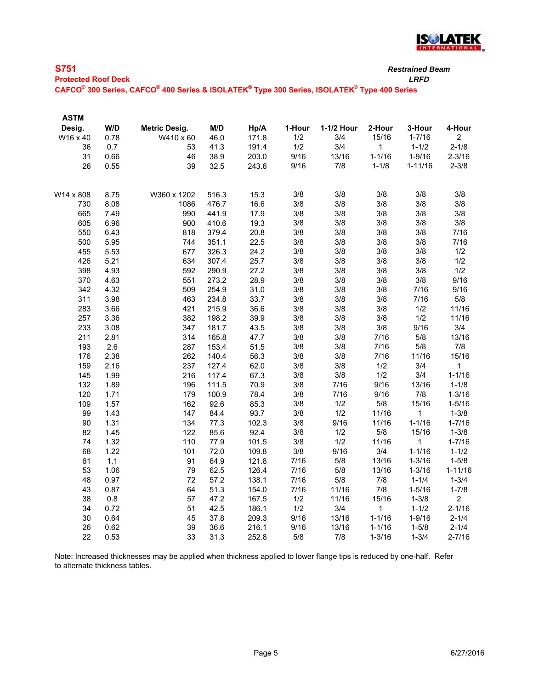

| $\overline{\phantom{a}}$ |        |  |
|--------------------------|--------|--|
| ×                        |        |  |
| -                        | $\sim$ |  |

|  |  |  |  | Protected Roof Deck |  |
|--|--|--|--|---------------------|--|

**Protected Roof Deck** *LRFD* **CAFCO® 300 Series, CAFCO® 400 Series & ISOLATEK® Type 300 Series, ISOLATEK® Type 400 Series**

| <b>ASTM</b> |      |               |       |       |        |            |            |             |                |
|-------------|------|---------------|-------|-------|--------|------------|------------|-------------|----------------|
| Desig.      | W/D  | Metric Desig. | M/D   | Hp/A  | 1-Hour | 1-1/2 Hour | 2-Hour     | 3-Hour      | 4-Hour         |
| W16 x 40    | 0.78 | W410 x 60     | 46.0  | 171.8 | 1/2    | 3/4        | 15/16      | $1 - 7/16$  | $\overline{c}$ |
| 36          | 0.7  | 53            | 41.3  | 191.4 | $1/2$  | 3/4        | 1          | $1 - 1/2$   | $2 - 1/8$      |
| 31          | 0.66 | 46            | 38.9  | 203.0 | 9/16   | 13/16      | $1 - 1/16$ | $1 - 9/16$  | $2 - 3/16$     |
| 26          | 0.55 | 39            | 32.5  | 243.6 | 9/16   | 7/8        | $1 - 1/8$  | $1 - 11/16$ | $2 - 3/8$      |
|             |      |               |       |       |        |            |            |             |                |
| W14 x 808   | 8.75 | W360 x 1202   | 516.3 | 15.3  | 3/8    | 3/8        | 3/8        | 3/8         | 3/8            |
| 730         | 8.08 | 1086          | 476.7 | 16.6  | 3/8    | 3/8        | 3/8        | 3/8         | 3/8            |
| 665         | 7.49 | 990           | 441.9 | 17.9  | 3/8    | 3/8        | 3/8        | 3/8         | 3/8            |
| 605         | 6.96 | 900           | 410.6 | 19.3  | 3/8    | 3/8        | 3/8        | 3/8         | 3/8            |
| 550         | 6.43 | 818           | 379.4 | 20.8  | 3/8    | 3/8        | 3/8        | 3/8         | 7/16           |
| 500         | 5.95 | 744           | 351.1 | 22.5  | 3/8    | 3/8        | 3/8        | 3/8         | 7/16           |
| 455         | 5.53 | 677           | 326.3 | 24.2  | 3/8    | 3/8        | 3/8        | 3/8         | 1/2            |
| 426         | 5.21 | 634           | 307.4 | 25.7  | 3/8    | 3/8        | 3/8        | 3/8         | 1/2            |
| 398         | 4.93 | 592           | 290.9 | 27.2  | 3/8    | 3/8        | 3/8        | 3/8         | 1/2            |
| 370         | 4.63 | 551           | 273.2 | 28.9  | 3/8    | 3/8        | 3/8        | 3/8         | 9/16           |
| 342         | 4.32 | 509           | 254.9 | 31.0  | 3/8    | 3/8        | 3/8        | 7/16        | 9/16           |
| 311         | 3.98 | 463           | 234.8 | 33.7  | 3/8    | 3/8        | 3/8        | 7/16        | 5/8            |
| 283         | 3.66 | 421           | 215.9 | 36.6  | 3/8    | 3/8        | 3/8        | 1/2         | 11/16          |
| 257         | 3.36 | 382           | 198.2 | 39.9  | 3/8    | 3/8        | 3/8        | 1/2         | 11/16          |
| 233         | 3.08 | 347           | 181.7 | 43.5  | 3/8    | 3/8        | 3/8        | 9/16        | 3/4            |
| 211         | 2.81 | 314           | 165.8 | 47.7  | 3/8    | 3/8        | 7/16       | 5/8         | 13/16          |
| 193         | 2.6  | 287           | 153.4 | 51.5  | 3/8    | 3/8        | 7/16       | 5/8         | 7/8            |
| 176         | 2.38 | 262           | 140.4 | 56.3  | 3/8    | 3/8        | 7/16       | 11/16       | 15/16          |
| 159         | 2.16 | 237           | 127.4 | 62.0  | 3/8    | 3/8        | 1/2        | 3/4         | 1              |
| 145         | 1.99 | 216           | 117.4 | 67.3  | 3/8    | 3/8        | 1/2        | 3/4         | $1 - 1/16$     |
| 132         | 1.89 | 196           | 111.5 | 70.9  | 3/8    | 7/16       | 9/16       | 13/16       | $1 - 1/8$      |
| 120         | 1.71 | 179           | 100.9 | 78.4  | 3/8    | 7/16       | 9/16       | 7/8         | $1 - 3/16$     |
| 109         | 1.57 | 162           | 92.6  | 85.3  | 3/8    | 1/2        | 5/8        | 15/16       | $1 - 5/16$     |
| 99          | 1.43 | 147           | 84.4  | 93.7  | 3/8    | 1/2        | 11/16      | $\mathbf 1$ | $1 - 3/8$      |
| 90          | 1.31 | 134           | 77.3  | 102.3 | 3/8    | 9/16       | 11/16      | $1 - 1/16$  | $1 - 7/16$     |
| 82          | 1.45 | 122           | 85.6  | 92.4  | 3/8    | 1/2        | 5/8        | 15/16       | $1 - 3/8$      |
| 74          | 1.32 | 110           | 77.9  | 101.5 | 3/8    | 1/2        | 11/16      | $\mathbf 1$ | $1 - 7/16$     |
| 68          | 1.22 | 101           | 72.0  | 109.8 | 3/8    | 9/16       | 3/4        | $1 - 1/16$  | $1 - 1/2$      |
| 61          | 1.1  | 91            | 64.9  | 121.8 | 7/16   | $5/8$      | 13/16      | $1 - 3/16$  | $1 - 5/8$      |
| 53          | 1.06 | 79            | 62.5  | 126.4 | 7/16   | 5/8        | 13/16      | $1 - 3/16$  | $1 - 11/16$    |
| 48          | 0.97 | 72            | 57.2  | 138.1 | 7/16   | 5/8        | 7/8        | $1 - 1/4$   | $1 - 3/4$      |
| 43          | 0.87 | 64            | 51.3  | 154.0 | 7/16   | 11/16      | 7/8        | $1 - 5/16$  | $1 - 7/8$      |
| 38          | 0.8  | 57            | 47.2  | 167.5 | 1/2    | 11/16      | 15/16      | $1 - 3/8$   | $\overline{a}$ |
| 34          | 0.72 | 51            | 42.5  | 186.1 | 1/2    | 3/4        | 1          | $1 - 1/2$   | $2 - 1/16$     |
| 30          | 0.64 | 45            | 37.8  | 209.3 | 9/16   | 13/16      | $1 - 1/16$ | $1 - 9/16$  | $2 - 1/4$      |
| 26          | 0.62 | 39            | 36.6  | 216.1 | 9/16   | 13/16      | $1 - 1/16$ | $1 - 5/8$   | $2 - 1/4$      |
| 22          | 0.53 | 33            | 31.3  | 252.8 | 5/8    | 7/8        | $1 - 3/16$ | $1 - 3/4$   | $2 - 7/16$     |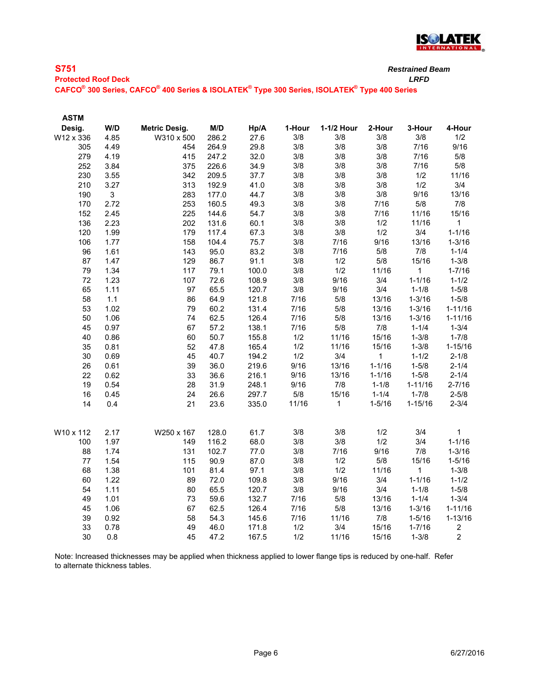

| <b>S751</b>                | <b>Restrained</b> |
|----------------------------|-------------------|
| <b>Protected Roof Deck</b> | LRFD              |

**CAFCO® 300 Series, CAFCO® 400 Series & ISOLATEK® Type 300 Series, ISOLATEK® Type 400 Series**

| <b>ASTM</b> |      |                      |       |       |        |            |              |              |                |
|-------------|------|----------------------|-------|-------|--------|------------|--------------|--------------|----------------|
| Desig.      | W/D  | <b>Metric Desig.</b> | M/D   | Hp/A  | 1-Hour | 1-1/2 Hour | 2-Hour       | 3-Hour       | 4-Hour         |
| W12 x 336   | 4.85 | W310 x 500           | 286.2 | 27.6  | 3/8    | 3/8        | 3/8          | 3/8          | 1/2            |
| 305         | 4.49 | 454                  | 264.9 | 29.8  | 3/8    | 3/8        | 3/8          | 7/16         | 9/16           |
| 279         | 4.19 | 415                  | 247.2 | 32.0  | 3/8    | 3/8        | 3/8          | 7/16         | 5/8            |
| 252         | 3.84 | 375                  | 226.6 | 34.9  | 3/8    | 3/8        | 3/8          | 7/16         | 5/8            |
| 230         | 3.55 | 342                  | 209.5 | 37.7  | 3/8    | 3/8        | 3/8          | 1/2          | 11/16          |
| 210         | 3.27 | 313                  | 192.9 | 41.0  | 3/8    | 3/8        | 3/8          | 1/2          | 3/4            |
| 190         | 3    | 283                  | 177.0 | 44.7  | 3/8    | 3/8        | $3/8$        | 9/16         | 13/16          |
| 170         | 2.72 | 253                  | 160.5 | 49.3  | 3/8    | 3/8        | 7/16         | $5/8$        | 7/8            |
| 152         | 2.45 | 225                  | 144.6 | 54.7  | 3/8    | 3/8        | 7/16         | 11/16        | 15/16          |
| 136         | 2.23 | 202                  | 131.6 | 60.1  | 3/8    | 3/8        | 1/2          | 11/16        | 1              |
| 120         | 1.99 | 179                  | 117.4 | 67.3  | 3/8    | 3/8        | 1/2          | 3/4          | $1 - 1/16$     |
| 106         | 1.77 | 158                  | 104.4 | 75.7  | 3/8    | 7/16       | 9/16         | 13/16        | $1 - 3/16$     |
| 96          | 1.61 | 143                  | 95.0  | 83.2  | 3/8    | 7/16       | $5/8$        | 7/8          | $1 - 1/4$      |
| 87          | 1.47 | 129                  | 86.7  | 91.1  | 3/8    | 1/2        | 5/8          | 15/16        | $1 - 3/8$      |
| 79          | 1.34 | 117                  | 79.1  | 100.0 | 3/8    | 1/2        | 11/16        | $\mathbf{1}$ | $1 - 7/16$     |
| 72          | 1.23 | 107                  | 72.6  | 108.9 | 3/8    | 9/16       | 3/4          | $1 - 1/16$   | $1 - 1/2$      |
| 65          | 1.11 | 97                   | 65.5  | 120.7 | 3/8    | 9/16       | 3/4          | $1 - 1/8$    | $1 - 5/8$      |
| 58          | 1.1  | 86                   | 64.9  | 121.8 | 7/16   | 5/8        | 13/16        | $1 - 3/16$   | $1 - 5/8$      |
| 53          | 1.02 | 79                   | 60.2  | 131.4 | 7/16   | 5/8        | 13/16        | $1 - 3/16$   | $1 - 11/16$    |
| 50          | 1.06 | 74                   | 62.5  | 126.4 | 7/16   | 5/8        | 13/16        | $1 - 3/16$   | $1 - 11/16$    |
| 45          | 0.97 | 67                   | 57.2  | 138.1 | 7/16   | 5/8        | $7/8$        | $1 - 1/4$    | $1 - 3/4$      |
| 40          | 0.86 | 60                   | 50.7  | 155.8 | 1/2    | 11/16      | 15/16        | $1 - 3/8$    | $1 - 7/8$      |
| 35          | 0.81 | 52                   | 47.8  | 165.4 | 1/2    | 11/16      | 15/16        | $1 - 3/8$    | $1 - 15/16$    |
| 30          | 0.69 | 45                   | 40.7  | 194.2 | 1/2    | 3/4        | $\mathbf{1}$ | $1 - 1/2$    | $2 - 1/8$      |
| 26          | 0.61 | 39                   | 36.0  | 219.6 | 9/16   | 13/16      | $1 - 1/16$   | $1 - 5/8$    | $2 - 1/4$      |
| 22          | 0.62 | 33                   | 36.6  | 216.1 | 9/16   | 13/16      | $1 - 1/16$   | $1 - 5/8$    | $2 - 1/4$      |
| 19          | 0.54 | 28                   | 31.9  | 248.1 | 9/16   | 7/8        | $1 - 1/8$    | $1 - 11/16$  | $2 - 7/16$     |
| 16          | 0.45 | 24                   | 26.6  | 297.7 | $5/8$  | 15/16      | $1 - 1/4$    | $1 - 7/8$    | $2 - 5/8$      |
| 14          | 0.4  | 21                   | 23.6  | 335.0 | 11/16  | 1          | $1 - 5/16$   | $1 - 15/16$  | $2 - 3/4$      |
| W10 x 112   | 2.17 | W250 x 167           | 128.0 | 61.7  | 3/8    | 3/8        | 1/2          | 3/4          | $\mathbf{1}$   |
| 100         | 1.97 | 149                  | 116.2 | 68.0  | 3/8    | 3/8        | 1/2          | 3/4          | $1 - 1/16$     |
| 88          | 1.74 | 131                  | 102.7 | 77.0  | 3/8    | 7/16       | 9/16         | 7/8          | $1 - 3/16$     |
| 77          | 1.54 | 115                  | 90.9  | 87.0  | 3/8    | 1/2        | $5/8$        | 15/16        | $1 - 5/16$     |
| 68          | 1.38 | 101                  | 81.4  | 97.1  | 3/8    | 1/2        | 11/16        | 1            | $1 - 3/8$      |
| 60          | 1.22 | 89                   | 72.0  | 109.8 | 3/8    | 9/16       | 3/4          | $1 - 1/16$   | $1 - 1/2$      |
| 54          | 1.11 | 80                   | 65.5  | 120.7 | 3/8    | 9/16       | 3/4          | $1 - 1/8$    | $1 - 5/8$      |
| 49          | 1.01 | 73                   | 59.6  | 132.7 | 7/16   | 5/8        | 13/16        | $1 - 1/4$    | $1 - 3/4$      |
| 45          | 1.06 | 67                   | 62.5  | 126.4 | 7/16   | 5/8        | 13/16        | $1 - 3/16$   | $1 - 11/16$    |
| 39          | 0.92 | 58                   | 54.3  | 145.6 | 7/16   | 11/16      | 7/8          | $1 - 5/16$   | $1 - 13/16$    |
| 33          | 0.78 | 49                   | 46.0  | 171.8 | 1/2    | 3/4        | 15/16        | $1 - 7/16$   | $\overline{c}$ |
| 30          | 0.8  | 45                   | 47.2  | 167.5 | 1/2    | 11/16      | 15/16        | $1 - 3/8$    | $\overline{c}$ |